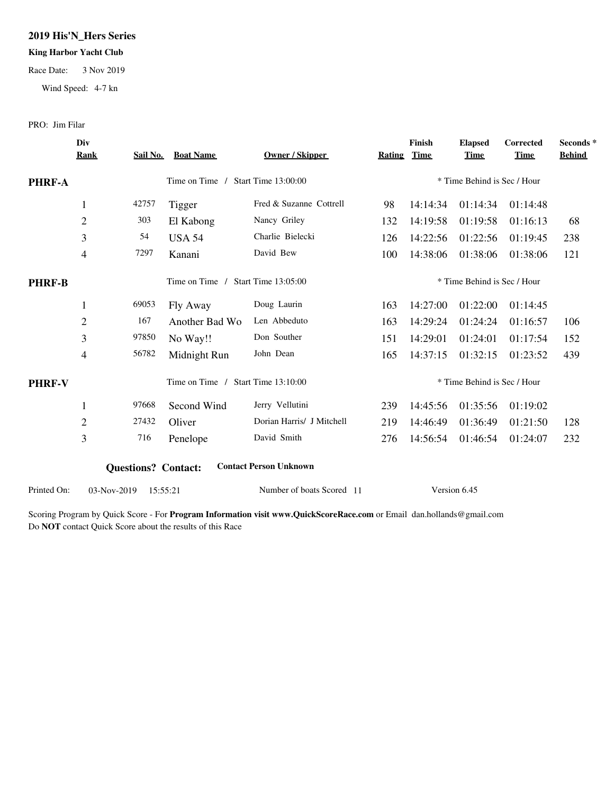## **2019 His'N\_Hers Series**

### **King Harbor Yacht Club**

Race Date: 3 Nov 2019

Wind Speed: 4-7 kn

PRO: Jim Filar

|               | Div<br><b>Rank</b> | Sail No.                   | <b>Boat Name</b> | Owner / Skipper               | Rating Time                 | Finish                      | <b>Elapsed</b><br><b>Time</b> | Corrected<br><b>Time</b> | Seconds*<br><b>Behind</b> |
|---------------|--------------------|----------------------------|------------------|-------------------------------|-----------------------------|-----------------------------|-------------------------------|--------------------------|---------------------------|
| <b>PHRF-A</b> |                    |                            | Time on Time /   | Start Time 13:00:00           | * Time Behind is Sec / Hour |                             |                               |                          |                           |
|               | $\mathbf{1}$       | 42757                      | Tigger           | Fred & Suzanne Cottrell       | 98                          | 14:14:34                    | 01:14:34                      | 01:14:48                 |                           |
|               | $\mathbf{2}$       | 303                        | El Kabong        | Nancy Griley                  | 132                         | 14:19:58                    | 01:19:58                      | 01:16:13                 | 68                        |
|               | 3                  | 54                         | <b>USA 54</b>    | Charlie Bielecki              | 126                         | 14:22:56                    | 01:22:56                      | 01:19:45                 | 238                       |
|               | 4                  | 7297                       | Kanani           | David Bew                     | 100                         | 14:38:06                    | 01:38:06                      | 01:38:06                 | 121                       |
| <b>PHRF-B</b> |                    |                            | Time on Time /   | <b>Start Time 13:05:00</b>    |                             | * Time Behind is Sec / Hour |                               |                          |                           |
|               | 1                  | 69053                      | Fly Away         | Doug Laurin                   | 163                         | 14:27:00                    | 01:22:00                      | 01:14:45                 |                           |
|               | $\overline{c}$     | 167                        | Another Bad Wo   | Len Abbeduto                  | 163                         | 14:29:24                    | 01:24:24                      | 01:16:57                 | 106                       |
|               | 3                  | 97850                      | No Way!!         | Don Souther                   | 151                         | 14:29:01                    | 01:24:01                      | 01:17:54                 | 152                       |
|               | 4                  | 56782                      | Midnight Run     | John Dean                     | 165                         | 14:37:15                    | 01:32:15                      | 01:23:52                 | 439                       |
| <b>PHRF-V</b> |                    |                            | Time on Time /   | <b>Start Time 13:10:00</b>    | * Time Behind is Sec / Hour |                             |                               |                          |                           |
|               | $\mathbf{1}$       | 97668                      | Second Wind      | Jerry Vellutini               | 239                         | 14:45:56                    | 01:35:56                      | 01:19:02                 |                           |
|               | $\overline{2}$     | 27432                      | Oliver           | Dorian Harris/ J Mitchell     | 219                         | 14:46:49                    | 01:36:49                      | 01:21:50                 | 128                       |
|               | 3                  | 716                        | Penelope         | David Smith                   | 276                         | 14:56:54                    | 01:46:54                      | 01:24:07                 | 232                       |
|               |                    | <b>Questions? Contact:</b> |                  | <b>Contact Person Unknown</b> |                             |                             |                               |                          |                           |
| Printed On:   | 03-Nov-2019        | 15:55:21                   |                  | Number of boats Scored 11     |                             |                             | Version 6.45                  |                          |                           |

Scoring Program by Quick Score - For **Program Information visit www.QuickScoreRace.com** or Email dan.hollands@gmail.com Do **NOT** contact Quick Score about the results of this Race